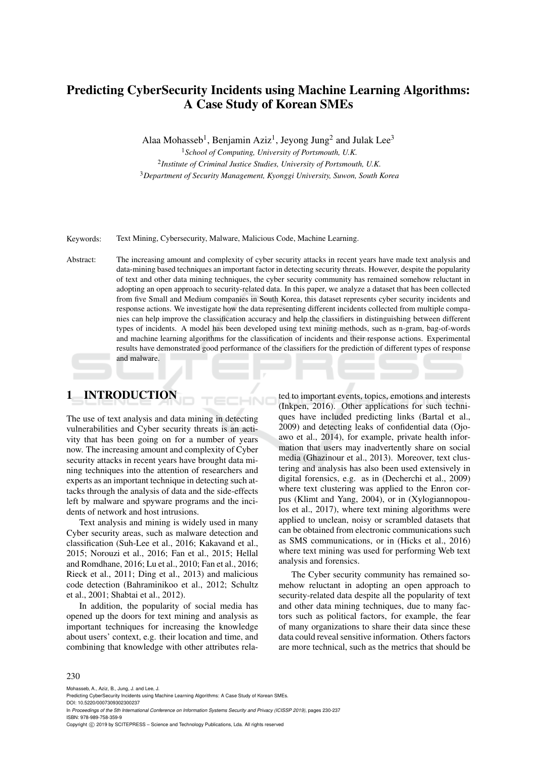# Predicting CyberSecurity Incidents using Machine Learning Algorithms: A Case Study of Korean SMEs

Alaa Mohasseb<sup>1</sup>, Benjamin Aziz<sup>1</sup>, Jeyong Jung<sup>2</sup> and Julak Lee<sup>3</sup>

<sup>1</sup>*School of Computing, University of Portsmouth, U.K.* 2 *Institute of Criminal Justice Studies, University of Portsmouth, U.K.* <sup>3</sup>*Department of Security Management, Kyonggi University, Suwon, South Korea*

Keywords: Text Mining, Cybersecurity, Malware, Malicious Code, Machine Learning.

Abstract: The increasing amount and complexity of cyber security attacks in recent years have made text analysis and data-mining based techniques an important factor in detecting security threats. However, despite the popularity of text and other data mining techniques, the cyber security community has remained somehow reluctant in adopting an open approach to security-related data. In this paper, we analyze a dataset that has been collected from five Small and Medium companies in South Korea, this dataset represents cyber security incidents and response actions. We investigate how the data representing different incidents collected from multiple companies can help improve the classification accuracy and help the classifiers in distinguishing between different types of incidents. A model has been developed using text mining methods, such as n-gram, bag-of-words and machine learning algorithms for the classification of incidents and their response actions. Experimental results have demonstrated good performance of the classifiers for the prediction of different types of response and malware.

# 1 INTRODUCTION

The use of text analysis and data mining in detecting vulnerabilities and Cyber security threats is an activity that has been going on for a number of years now. The increasing amount and complexity of Cyber security attacks in recent years have brought data mining techniques into the attention of researchers and experts as an important technique in detecting such attacks through the analysis of data and the side-effects left by malware and spyware programs and the incidents of network and host intrusions.

Text analysis and mining is widely used in many Cyber security areas, such as malware detection and classification (Suh-Lee et al., 2016; Kakavand et al., 2015; Norouzi et al., 2016; Fan et al., 2015; Hellal and Romdhane, 2016; Lu et al., 2010; Fan et al., 2016; Rieck et al., 2011; Ding et al., 2013) and malicious code detection (Bahraminikoo et al., 2012; Schultz et al., 2001; Shabtai et al., 2012).

In addition, the popularity of social media has opened up the doors for text mining and analysis as important techniques for increasing the knowledge about users' context, e.g. their location and time, and combining that knowledge with other attributes rela-

ted to important events, topics, emotions and interests (Inkpen, 2016). Other applications for such techniques have included predicting links (Bartal et al., 2009) and detecting leaks of confidential data (Ojoawo et al., 2014), for example, private health information that users may inadvertently share on social media (Ghazinour et al., 2013). Moreover, text clustering and analysis has also been used extensively in digital forensics, e.g. as in (Decherchi et al., 2009) where text clustering was applied to the Enron corpus (Klimt and Yang, 2004), or in (Xylogiannopoulos et al., 2017), where text mining algorithms were applied to unclean, noisy or scrambled datasets that can be obtained from electronic communications such as SMS communications, or in (Hicks et al., 2016) where text mining was used for performing Web text analysis and forensics.

The Cyber security community has remained somehow reluctant in adopting an open approach to security-related data despite all the popularity of text and other data mining techniques, due to many factors such as political factors, for example, the fear of many organizations to share their data since these data could reveal sensitive information. Others factors are more technical, such as the metrics that should be

#### 230

Mohasseb, A., Aziz, B., Jung, J. and Lee, J.

DOI: 10.5220/0007309302300237 In *Proceedings of the 5th International Conference on Information Systems Security and Privacy (ICISSP 2019)*, pages 230-237 ISBN: 978-989-758-359-9

Copyright (C) 2019 by SCITEPRESS - Science and Technology Publications, Lda. All rights reserved

Predicting CyberSecurity Incidents using Machine Learning Algorithms: A Case Study of Korean SMEs.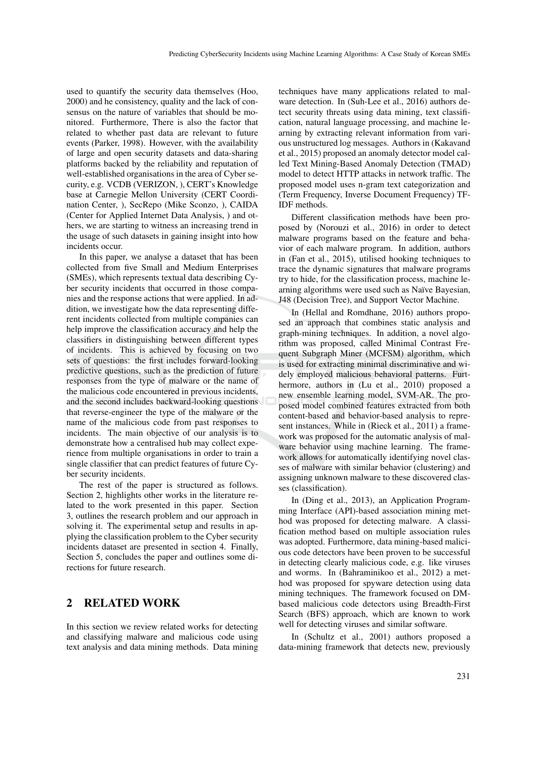used to quantify the security data themselves (Hoo, 2000) and he consistency, quality and the lack of consensus on the nature of variables that should be monitored. Furthermore, There is also the factor that related to whether past data are relevant to future events (Parker, 1998). However, with the availability of large and open security datasets and data-sharing platforms backed by the reliability and reputation of well-established organisations in the area of Cyber security, e.g. VCDB (VERIZON, ), CERT's Knowledge base at Carnegie Mellon University (CERT Coordination Center, ), SecRepo (Mike Sconzo, ), CAIDA (Center for Applied Internet Data Analysis, ) and others, we are starting to witness an increasing trend in the usage of such datasets in gaining insight into how incidents occur.

In this paper, we analyse a dataset that has been collected from five Small and Medium Enterprises (SMEs), which represents textual data describing Cyber security incidents that occurred in those companies and the response actions that were applied. In addition, we investigate how the data representing different incidents collected from multiple companies can help improve the classification accuracy and help the classifiers in distinguishing between different types of incidents. This is achieved by focusing on two sets of questions: the first includes forward-looking predictive questions, such as the prediction of future responses from the type of malware or the name of the malicious code encountered in previous incidents, and the second includes backward-looking questions that reverse-engineer the type of the malware or the name of the malicious code from past responses to incidents. The main objective of our analysis is to demonstrate how a centralised hub may collect experience from multiple organisations in order to train a single classifier that can predict features of future Cyber security incidents.

The rest of the paper is structured as follows. Section 2, highlights other works in the literature related to the work presented in this paper. Section 3, outlines the research problem and our approach in solving it. The experimental setup and results in applying the classification problem to the Cyber security incidents dataset are presented in section 4. Finally, Section 5, concludes the paper and outlines some directions for future research.

## 2 RELATED WORK

In this section we review related works for detecting and classifying malware and malicious code using text analysis and data mining methods. Data mining

techniques have many applications related to malware detection. In (Suh-Lee et al., 2016) authors detect security threats using data mining, text classification, natural language processing, and machine learning by extracting relevant information from various unstructured log messages. Authors in (Kakavand et al., 2015) proposed an anomaly detector model called Text Mining-Based Anomaly Detection (TMAD) model to detect HTTP attacks in network traffic. The proposed model uses n-gram text categorization and (Term Frequency, Inverse Document Frequency) TF-IDF methods.

Different classification methods have been proposed by (Norouzi et al., 2016) in order to detect malware programs based on the feature and behavior of each malware program. In addition, authors in (Fan et al., 2015), utilised hooking techniques to trace the dynamic signatures that malware programs try to hide, for the classification process, machine learning algorithms were used such as Naïve Bayesian, J48 (Decision Tree), and Support Vector Machine.

In (Hellal and Romdhane, 2016) authors proposed an approach that combines static analysis and graph-mining techniques. In addition, a novel algorithm was proposed, called Minimal Contrast Frequent Subgraph Miner (MCFSM) algorithm, which is used for extracting minimal discriminative and widely employed malicious behavioral patterns. Furthermore, authors in (Lu et al., 2010) proposed a new ensemble learning model, SVM-AR. The proposed model combined features extracted from both content-based and behavior-based analysis to represent instances. While in (Rieck et al., 2011) a framework was proposed for the automatic analysis of malware behavior using machine learning. The framework allows for automatically identifying novel classes of malware with similar behavior (clustering) and assigning unknown malware to these discovered classes (classification).

In (Ding et al., 2013), an Application Programming Interface (API)-based association mining method was proposed for detecting malware. A classification method based on multiple association rules was adopted. Furthermore, data mining-based malicious code detectors have been proven to be successful in detecting clearly malicious code, e.g. like viruses and worms. In (Bahraminikoo et al., 2012) a method was proposed for spyware detection using data mining techniques. The framework focused on DMbased malicious code detectors using Breadth-First Search (BFS) approach, which are known to work well for detecting viruses and similar software.

In (Schultz et al., 2001) authors proposed a data-mining framework that detects new, previously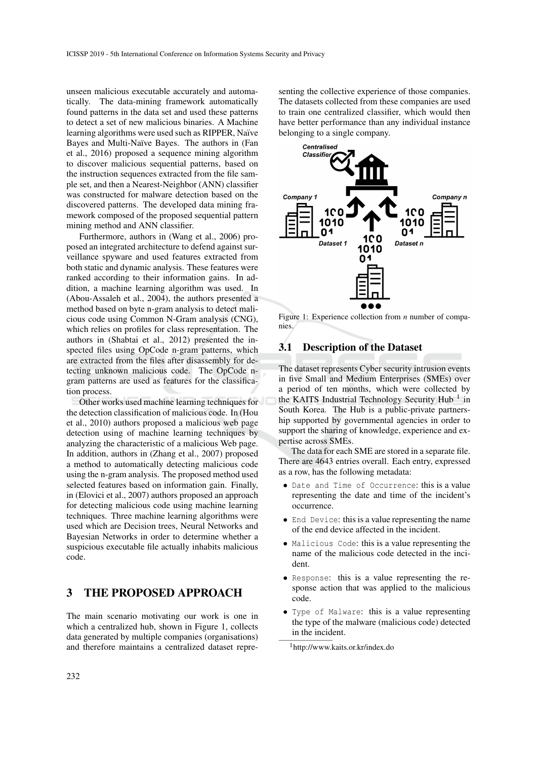unseen malicious executable accurately and automatically. The data-mining framework automatically found patterns in the data set and used these patterns to detect a set of new malicious binaries. A Machine learning algorithms were used such as RIPPER, Naïve Bayes and Multi-Naïve Bayes. The authors in (Fan et al., 2016) proposed a sequence mining algorithm to discover malicious sequential patterns, based on the instruction sequences extracted from the file sample set, and then a Nearest-Neighbor (ANN) classifier was constructed for malware detection based on the discovered patterns. The developed data mining framework composed of the proposed sequential pattern mining method and ANN classifier.

Furthermore, authors in (Wang et al., 2006) proposed an integrated architecture to defend against surveillance spyware and used features extracted from both static and dynamic analysis. These features were ranked according to their information gains. In addition, a machine learning algorithm was used. In (Abou-Assaleh et al., 2004), the authors presented a method based on byte n-gram analysis to detect malicious code using Common N-Gram analysis (CNG), which relies on profiles for class representation. The authors in (Shabtai et al., 2012) presented the inspected files using OpCode n-gram patterns, which are extracted from the files after disassembly for detecting unknown malicious code. The OpCode ngram patterns are used as features for the classification process.

Other works used machine learning techniques for the detection classification of malicious code. In (Hou et al., 2010) authors proposed a malicious web page detection using of machine learning techniques by analyzing the characteristic of a malicious Web page. In addition, authors in (Zhang et al., 2007) proposed a method to automatically detecting malicious code using the n-gram analysis. The proposed method used selected features based on information gain. Finally, in (Elovici et al., 2007) authors proposed an approach for detecting malicious code using machine learning techniques. Three machine learning algorithms were used which are Decision trees, Neural Networks and Bayesian Networks in order to determine whether a suspicious executable file actually inhabits malicious code.

# 3 THE PROPOSED APPROACH

The main scenario motivating our work is one in which a centralized hub, shown in Figure 1, collects data generated by multiple companies (organisations) and therefore maintains a centralized dataset repre-

senting the collective experience of those companies. The datasets collected from these companies are used to train one centralized classifier, which would then have better performance than any individual instance belonging to a single company.



Figure 1: Experience collection from *n* number of companies.

### 3.1 Description of the Dataset

The dataset represents Cyber security intrusion events in five Small and Medium Enterprises (SMEs) over a period of ten months, which were collected by the KAITS Industrial Technology Security Hub  $<sup>1</sup>$  in</sup> South Korea. The Hub is a public-private partnership supported by governmental agencies in order to support the sharing of knowledge, experience and expertise across SMEs.

The data for each SME are stored in a separate file. There are 4643 entries overall. Each entry, expressed as a row, has the following metadata:

- Date and Time of Occurrence: this is a value representing the date and time of the incident's occurrence.
- End Device: this is a value representing the name of the end device affected in the incident.
- Malicious Code: this is a value representing the name of the malicious code detected in the incident.
- Response: this is a value representing the response action that was applied to the malicious code.
- Type of Malware: this is a value representing the type of the malware (malicious code) detected in the incident.

<sup>1</sup>http://www.kaits.or.kr/index.do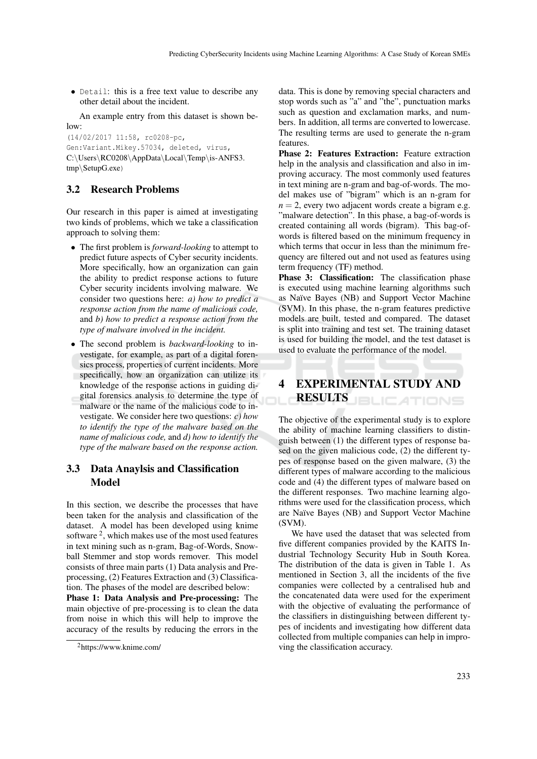• Detail: this is a free text value to describe any other detail about the incident.

An example entry from this dataset is shown be $low$ 

(14/02/2017 11:58, rc0208-pc, Gen:Variant.Mikey.57034, deleted, virus, C:\Users\RC0208\AppData\Local\Temp\is-ANFS3. tmp\SetupG.exe)

## 3.2 Research Problems

Our research in this paper is aimed at investigating two kinds of problems, which we take a classification approach to solving them:

- The first problem is *forward-looking* to attempt to predict future aspects of Cyber security incidents. More specifically, how an organization can gain the ability to predict response actions to future Cyber security incidents involving malware. We consider two questions here: *a) how to predict a response action from the name of malicious code,* and *b) how to predict a response action from the type of malware involved in the incident.*
- The second problem is *backward-looking* to investigate, for example, as part of a digital forensics process, properties of current incidents. More specifically, how an organization can utilize its knowledge of the response actions in guiding digital forensics analysis to determine the type of malware or the name of the malicious code to investigate. We consider here two questions: *c) how to identify the type of the malware based on the name of malicious code,* and *d) how to identify the type of the malware based on the response action.*

## 3.3 Data Anaylsis and Classification Model

In this section, we describe the processes that have been taken for the analysis and classification of the dataset. A model has been developed using knime software<sup>2</sup>, which makes use of the most used features in text mining such as n-gram, Bag-of-Words, Snowball Stemmer and stop words remover. This model consists of three main parts (1) Data analysis and Preprocessing, (2) Features Extraction and (3) Classification. The phases of the model are described below:

Phase 1: Data Analysis and Pre-processing: The main objective of pre-processing is to clean the data from noise in which this will help to improve the accuracy of the results by reducing the errors in the data. This is done by removing special characters and stop words such as "a" and "the", punctuation marks such as question and exclamation marks, and numbers. In addition, all terms are converted to lowercase. The resulting terms are used to generate the n-gram features.

Phase 2: Features Extraction: Feature extraction help in the analysis and classification and also in improving accuracy. The most commonly used features in text mining are n-gram and bag-of-words. The model makes use of "bigram" which is an n-gram for  $n = 2$ , every two adjacent words create a bigram e.g. "malware detection". In this phase, a bag-of-words is created containing all words (bigram). This bag-ofwords is filtered based on the minimum frequency in which terms that occur in less than the minimum frequency are filtered out and not used as features using term frequency (TF) method.

Phase 3: Classification: The classification phase is executed using machine learning algorithms such as Na¨ıve Bayes (NB) and Support Vector Machine (SVM). In this phase, the n-gram features predictive models are built, tested and compared. The dataset is split into training and test set. The training dataset is used for building the model, and the test dataset is used to evaluate the performance of the model.

# 4 EXPERIMENTAL STUDY AND **RESULTS** BLICATIONS

The objective of the experimental study is to explore the ability of machine learning classifiers to distinguish between (1) the different types of response based on the given malicious code, (2) the different types of response based on the given malware, (3) the different types of malware according to the malicious code and (4) the different types of malware based on the different responses. Two machine learning algorithms were used for the classification process, which are Naïve Bayes (NB) and Support Vector Machine (SVM).

We have used the dataset that was selected from five different companies provided by the KAITS Industrial Technology Security Hub in South Korea. The distribution of the data is given in Table 1. As mentioned in Section 3, all the incidents of the five companies were collected by a centralised hub and the concatenated data were used for the experiment with the objective of evaluating the performance of the classifiers in distinguishing between different types of incidents and investigating how different data collected from multiple companies can help in improving the classification accuracy.

<sup>2</sup>https://www.knime.com/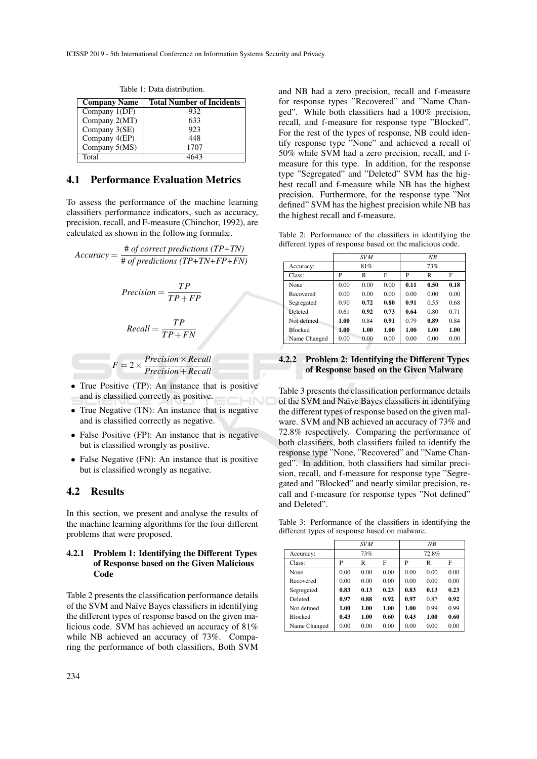| <b>Company Name</b> | <b>Total Number of Incidents</b> |
|---------------------|----------------------------------|
| Company 1(DF)       | 932                              |
| Company 2(MT)       | 633                              |
| Company 3(SE)       | 923                              |
| Company 4(EP)       | 448                              |
| Company 5(MS)       | 1707                             |
| Total               |                                  |

Table 1: Data distribution.

### 4.1 Performance Evaluation Metrics

To assess the performance of the machine learning classifiers performance indicators, such as accuracy, precision, recall, and F-measure (Chinchor, 1992), are calculated as shown in the following formulæ.

*Accuracy* = # *of correct predictions (TP+TN)* # *of predictions (TP+TN+FP+FN)*

$$
Precision = \frac{TP}{TP + FP}
$$

$$
Recall = \frac{TP}{TP + FN}
$$

$$
F = 2 \times \frac{Precision \times Recall}{Precision + Recall}
$$

- True Positive (TP): An instance that is positive and is classified correctly as positive.
- True Negative (TN): An instance that is negative and is classified correctly as negative.
- False Positive (FP): An instance that is negative but is classified wrongly as positive.
- False Negative (FN): An instance that is positive but is classified wrongly as negative.

## 4.2 Results

In this section, we present and analyse the results of the machine learning algorithms for the four different problems that were proposed.

#### 4.2.1 Problem 1: Identifying the Different Types of Response based on the Given Malicious Code

Table 2 presents the classification performance details of the SVM and Na¨ıve Bayes classifiers in identifying the different types of response based on the given malicious code. SVM has achieved an accuracy of 81% while NB achieved an accuracy of 73%. Comparing the performance of both classifiers, Both SVM

and NB had a zero precision, recall and f-measure for response types "Recovered" and "Name Changed". While both classifiers had a 100% precision, recall, and f-measure for response type "Blocked". For the rest of the types of response, NB could identify response type "None" and achieved a recall of 50% while SVM had a zero precision, recall, and fmeasure for this type. In addition, for the response type "Segregated" and "Deleted" SVM has the highest recall and f-measure while NB has the highest precision. Furthermore, for the response type "Not defined" SVM has the highest precision while NB has the highest recall and f-measure.

Table 2: Performance of the classifiers in identifying the different types of response based on the malicious code.

|                | <b>SVM</b> |      |      | NB   |      |      |
|----------------|------------|------|------|------|------|------|
| Accuracy:      |            | 81%  |      |      | 73%  |      |
| Class:         | P          | R    | F    | P    | R    | F    |
| None           | 0.00       | 0.00 | 0.00 | 0.11 | 0.50 | 0.18 |
| Recovered      | 0.00       | 0.00 | 0.00 | 0.00 | 0.00 | 0.00 |
| Segregated     | 0.90       | 0.72 | 0.80 | 0.91 | 0.55 | 0.68 |
| Deleted        | 0.61       | 0.92 | 0.73 | 0.64 | 0.80 | 0.71 |
| Not defined    | 1.00       | 0.84 | 0.91 | 0.79 | 0.89 | 0.84 |
| <b>Blocked</b> | 1.00       | 1.00 | 1.00 | 1.00 | 1.00 | 1.00 |
| Name Changed   | 0.00       | 0.00 | 0.00 | 0.00 | 0.00 | 0.00 |

#### 4.2.2 Problem 2: Identifying the Different Types of Response based on the Given Malware

Table 3 presents the classification performance details of the SVM and Na¨ıve Bayes classifiers in identifying the different types of response based on the given malware. SVM and NB achieved an accuracy of 73% and 72.8% respectively. Comparing the performance of both classifiers, both classifiers failed to identify the response type "None, "Recovered" and "Name Changed". In addition, both classifiers had similar precision, recall, and f-measure for response type "Segregated and "Blocked" and nearly similar precision, recall and f-measure for response types "Not defined" and Deleted".

Table 3: Performance of the classifiers in identifying the different types of response based on malware.

|                |      | <b>SVM</b> |      |      | NB    |      |
|----------------|------|------------|------|------|-------|------|
| Accuracy:      |      | 73%        |      |      | 72.8% |      |
| Class:         | P    | R          | F    | P    | R     | F    |
| None           | 0.00 | 0.00       | 0.00 | 0.00 | 0.00  | 0.00 |
| Recovered      | 0.00 | 0.00       | 0.00 | 0.00 | 0.00  | 0.00 |
| Segregated     | 0.83 | 0.13       | 0.23 | 0.83 | 0.13  | 0.23 |
| Deleted        | 0.97 | 0.88       | 0.92 | 0.97 | 0.87  | 0.92 |
| Not defined    | 1.00 | 1.00       | 1.00 | 1.00 | 0.99  | 0.99 |
| <b>Blocked</b> | 0.43 | 1.00       | 0.60 | 0.43 | 1.00  | 0.60 |
| Name Changed   | 0.00 | 0.00       | 0.00 | 0.00 | 0.00  | 0.00 |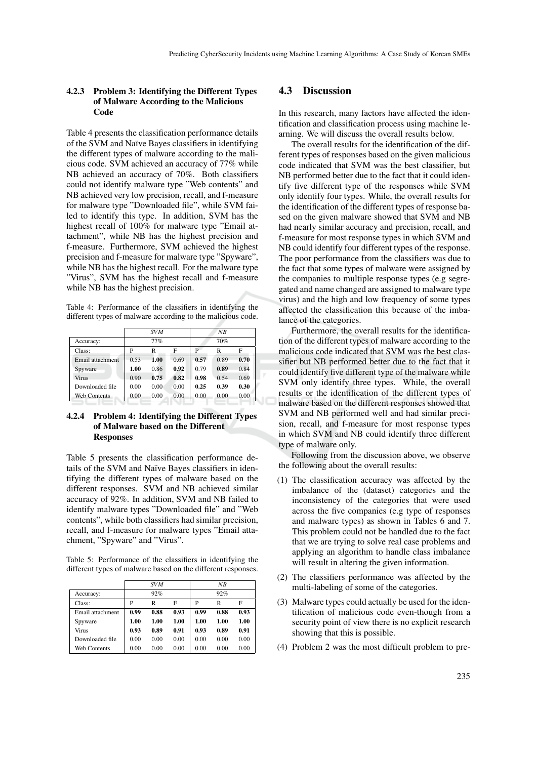#### 4.2.3 Problem 3: Identifying the Different Types of Malware According to the Malicious Code

Table 4 presents the classification performance details of the SVM and Naïve Bayes classifiers in identifying the different types of malware according to the malicious code. SVM achieved an accuracy of 77% while NB achieved an accuracy of 70%. Both classifiers could not identify malware type "Web contents" and NB achieved very low precision, recall, and f-measure for malware type "Downloaded file", while SVM failed to identify this type. In addition, SVM has the highest recall of 100% for malware type "Email attachment", while NB has the highest precision and f-measure. Furthermore, SVM achieved the highest precision and f-measure for malware type "Spyware", while NB has the highest recall. For the malware type "Virus", SVM has the highest recall and f-measure while NB has the highest precision.

Table 4: Performance of the classifiers in identifying the different types of malware according to the malicious code.

|                     |      | <b>SVM</b> |      |      | NB   |      |
|---------------------|------|------------|------|------|------|------|
| Accuracy:           |      | 77%        |      |      | 70%  |      |
| Class:              | P    | R          | F    |      | R    | F    |
| Email attachment    | 0.53 | 1.00       | 0.69 | 0.57 | 0.89 | 0.70 |
| Spyware             | 1.00 | 0.86       | 0.92 | 0.79 | 0.89 | 0.84 |
| <b>Virus</b>        | 0.90 | 0.75       | 0.82 | 0.98 | 0.54 | 0.69 |
| Downloaded file     | 0.00 | 0.00       | 0.00 | 0.25 | 0.39 | 0.30 |
| <b>Web Contents</b> | 0.00 | 0.00       | 0.00 | 0.00 | 0.00 | 0.00 |

#### 4.2.4 Problem 4: Identifying the Different Types of Malware based on the Different Responses

Table 5 presents the classification performance details of the SVM and Naïve Bayes classifiers in identifying the different types of malware based on the different responses. SVM and NB achieved similar accuracy of 92%. In addition, SVM and NB failed to identify malware types "Downloaded file" and "Web contents", while both classifiers had similar precision, recall, and f-measure for malware types "Email attachment, "Spyware" and "Virus".

Table 5: Performance of the classifiers in identifying the different types of malware based on the different responses.

|                     |      | <b>SVM</b> |      |      | NB   |      |
|---------------------|------|------------|------|------|------|------|
| Accuracy:           |      | 92%        |      |      | 92%  |      |
| Class:              | P    | R          | F    | P    | R    | F    |
| Email attachment    | 0.99 | 0.88       | 0.93 | 0.99 | 0.88 | 0.93 |
| Spyware             | 1.00 | 1.00       | 1.00 | 1.00 | 1.00 | 1.00 |
| Virus               | 0.93 | 0.89       | 0.91 | 0.93 | 0.89 | 0.91 |
| Downloaded file     | 0.00 | 0.00       | 0.00 | 0.00 | 0.00 | 0.00 |
| <b>Web Contents</b> | 0.00 | 0.00       | 0.00 | 0.00 | 0.00 | 0.00 |

#### 4.3 Discussion

In this research, many factors have affected the identification and classification process using machine learning. We will discuss the overall results below.

The overall results for the identification of the different types of responses based on the given malicious code indicated that SVM was the best classifier, but NB performed better due to the fact that it could identify five different type of the responses while SVM only identify four types. While, the overall results for the identification of the different types of response based on the given malware showed that SVM and NB had nearly similar accuracy and precision, recall, and f-measure for most response types in which SVM and NB could identify four different types of the response. The poor performance from the classifiers was due to the fact that some types of malware were assigned by the companies to multiple response types (e.g segregated and name changed are assigned to malware type virus) and the high and low frequency of some types affected the classification this because of the imbalance of the categories.

Furthermore, the overall results for the identification of the different types of malware according to the malicious code indicated that SVM was the best classifier but NB performed better due to the fact that it could identify five different type of the malware while SVM only identify three types. While, the overall results or the identification of the different types of malware based on the different responses showed that SVM and NB performed well and had similar precision, recall, and f-measure for most response types in which SVM and NB could identify three different type of malware only.

Following from the discussion above, we observe the following about the overall results:

- (1) The classification accuracy was affected by the imbalance of the (dataset) categories and the inconsistency of the categories that were used across the five companies (e.g type of responses and malware types) as shown in Tables 6 and 7. This problem could not be handled due to the fact that we are trying to solve real case problems and applying an algorithm to handle class imbalance will result in altering the given information.
- (2) The classifiers performance was affected by the multi-labeling of some of the categories.
- (3) Malware types could actually be used for the identification of malicious code even-though from a security point of view there is no explicit research showing that this is possible.
- (4) Problem 2 was the most difficult problem to pre-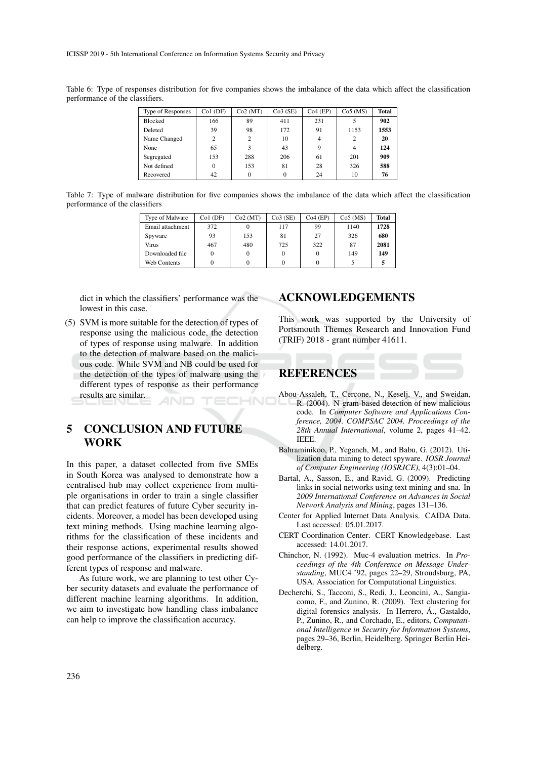ICISSP 2019 - 5th International Conference on Information Systems Security and Privacy

Table 6: Type of responses distribution for five companies shows the imbalance of the data which affect the classification performance of the classifiers.

| Type of Responses | $Co1$ (DF)     | Co2(MT)  | Co3(SE) | $Co4$ (EP) | Co5(MS) | Total |
|-------------------|----------------|----------|---------|------------|---------|-------|
| <b>Blocked</b>    | 166            | 89       | 411     | 231        | 5       | 902   |
| Deleted           | 39             | 98       | 172     | 91         | 1153    | 1553  |
| Name Changed      | $\overline{c}$ | 2        | 10      | 4          | 2       | 20    |
| None              | 65             | 3        | 43      | 9          | 4       | 124   |
| Segregated        | 153            | 288      | 206     | 61         | 201     | 909   |
| Not defined       |                | 153      | 81      | 28         | 326     | 588   |
| Recovered         | 42             | $\Omega$ | 0       | 24         | 10      | 76    |

Table 7: Type of malware distribution for five companies shows the imbalance of the data which affect the classification performance of the classifiers

| Type of Malware     | $Co1$ (DF) | Co2(MT) | Co3(SE) | $Co4$ (EP) | $Co5$ (MS) | <b>Total</b> |
|---------------------|------------|---------|---------|------------|------------|--------------|
| Email attachment    | 372        |         | 117     | 99         | 1140       | 1728         |
| Spyware             | 93         | 153     | 81      | 27         | 326        | 680          |
| Virus               | 467        | 480     | 725     | 322        | 87         | 2081         |
| Downloaded file     |            |         |         |            | 149        | 149          |
| <b>Web Contents</b> |            |         |         |            |            |              |

dict in which the classifiers' performance was the lowest in this case.

(5) SVM is more suitable for the detection of types of response using the malicious code, the detection of types of response using malware. In addition to the detection of malware based on the malicious code. While SVM and NB could be used for the detection of the types of malware using the different types of response as their performance results are similar.

# 5 CONCLUSION AND FUTURE WORK

In this paper, a dataset collected from five SMEs in South Korea was analysed to demonstrate how a centralised hub may collect experience from multiple organisations in order to train a single classifier that can predict features of future Cyber security incidents. Moreover, a model has been developed using text mining methods. Using machine learning algorithms for the classification of these incidents and their response actions, experimental results showed good performance of the classifiers in predicting different types of response and malware.

As future work, we are planning to test other Cyber security datasets and evaluate the performance of different machine learning algorithms. In addition, we aim to investigate how handling class imbalance can help to improve the classification accuracy.

## ACKNOWLEDGEMENTS

This work was supported by the University of Portsmouth Themes Research and Innovation Fund (TRIF) 2018 - grant number 41611.

# REFERENCES

- Abou-Assaleh, T., Cercone, N., Keselj, V., and Sweidan, R. (2004). N-gram-based detection of new malicious code. In *Computer Software and Applications Conference, 2004. COMPSAC 2004. Proceedings of the 28th Annual International*, volume 2, pages 41–42. IEEE.
- Bahraminikoo, P., Yeganeh, M., and Babu, G. (2012). Utilization data mining to detect spyware. *IOSR Journal of Computer Engineering (IOSRJCE)*, 4(3):01–04.
- Bartal, A., Sasson, E., and Ravid, G. (2009). Predicting links in social networks using text mining and sna. In *2009 International Conference on Advances in Social Network Analysis and Mining*, pages 131–136.
- Center for Applied Internet Data Analysis. CAIDA Data. Last accessed: 05.01.2017.
- CERT Coordination Center. CERT Knowledgebase. Last accessed: 14.01.2017.
- Chinchor, N. (1992). Muc-4 evaluation metrics. In *Proceedings of the 4th Conference on Message Understanding*, MUC4 '92, pages 22–29, Stroudsburg, PA, USA. Association for Computational Linguistics.
- Decherchi, S., Tacconi, S., Redi, J., Leoncini, A., Sangiacomo, F., and Zunino, R. (2009). Text clustering for digital forensics analysis. In Herrero, A., Gastaldo, P., Zunino, R., and Corchado, E., editors, *Computational Intelligence in Security for Information Systems*, pages 29–36, Berlin, Heidelberg. Springer Berlin Heidelberg.